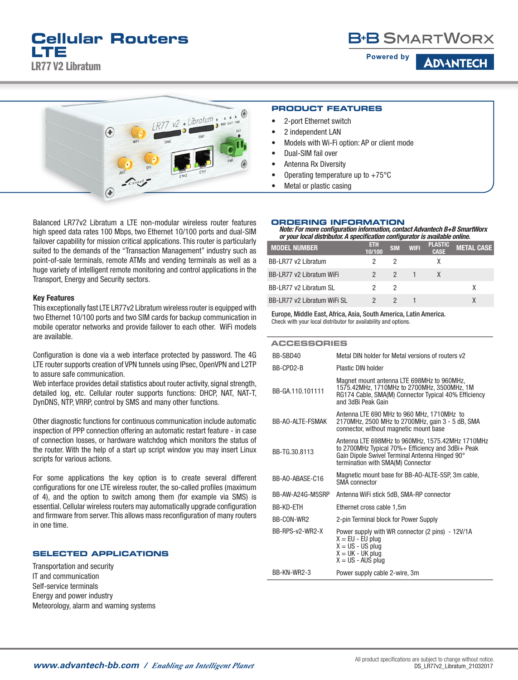# **B+B SMARTWORX**

**Powered by** 

**ADANTECI** 



Balanced LR77v2 Libratum a LTE non-modular wireless router features high speed data rates 100 Mbps, two Ethernet 10/100 ports and dual-SIM failover capability for mission critical applications. This router is particularly suited to the demands of the "Transaction Management" industry such as point-of-sale terminals, remote ATMs and vending terminals as well as a huge variety of intelligent remote monitoring and control applications in the Transport, Energy and Security sectors.

### Key Features

This exceptionally fast LTE LR77v2 Libratum wireless router is equipped with two Ethernet 10/100 ports and two SIM cards for backup communication in mobile operator networks and provide failover to each other. WiFi models are available.

Configuration is done via a web interface protected by password. The 4G LTE router supports creation of VPN tunnels using IPsec, OpenVPN and L2TP to assure safe communication.

Web interface provides detail statistics about router activity, signal strength, detailed log, etc. Cellular router supports functions: DHCP, NAT, NAT-T, DynDNS, NTP, VRRP, control by SMS and many other functions.

Other diagnostic functions for continuous communication include automatic inspection of PPP connection offering an automatic restart feature - in case of connection losses, or hardware watchdog which monitors the status of the router. With the help of a start up script window you may insert Linux scripts for various actions.

For some applications the key option is to create several different configurations for one LTE wireless router, the so-called profiles (maximum of 4), and the option to switch among them (for example via SMS) is essential. Cellular wireless routers may automatically upgrade configuration and firmware from server. This allows mass reconfiguration of many routers in one time.

### **SELECTED APPLICATIONS**

Transportation and security IT and communication Self-service terminals Energy and power industry Meteorology, alarm and warning systems

#### **PRODUCT FEATURES**

- 2-port Ethernet switch
- 2 independent LAN
- Models with Wi-Fi option: AP or client mode
- Dual-SIM fail over
- Antenna Rx Diversity
- Operating temperature up to  $+75^{\circ}$ C
- Metal or plastic casing

### **ORDERING INFORMATION**

*Note: For more configuration information, contact Advantech B+B SmartWorx or your local distributor. A specification configurator is available online.*

| <b>MODEL NUMBER</b>         | ETH<br>10/100 | <b>SIM</b>    | <b>WIFI</b> | <b>PLASTIC</b><br><b>CASE</b> | <b>METAL CASE</b> |
|-----------------------------|---------------|---------------|-------------|-------------------------------|-------------------|
| BB-LR77 v2 Libratum         |               |               |             |                               |                   |
| BB-LR77 v2 Libratum WiFi    |               | $\mathcal{P}$ |             |                               |                   |
| BB-LR77 v2 Libratum SL      |               |               |             |                               |                   |
| BB-LR77 v2 Libratum WiFi SL |               |               |             |                               |                   |

Europe, Middle East, Africa, Asia, South America, Latin America. Check with your local distributor for availability and options.

#### **ACCESSORIES**

| BB-SBD40         | Metal DIN holder for Metal versions of routers v2                                                                                                                                            |
|------------------|----------------------------------------------------------------------------------------------------------------------------------------------------------------------------------------------|
| BB-CPD2-B        | Plastic DIN holder                                                                                                                                                                           |
| BB-GA.110.101111 | Magnet mount antenna LTE 698MHz to 960MHz,<br>1575.42MHz, 1710MHz to 2700MHz, 3500MHz, 1M<br>RG174 Cable, SMA(M) Connector Typical 40% Efficiency<br>and 3dBi Peak Gain                      |
| BB-AO-ALTE-FSMAK | Antenna LTE 690 MHz to 960 MHz, 1710MHz to<br>2170MHz, 2500 MHz to 2700MHz, gain 3 - 5 dB, SMA<br>connector, without magnetic mount base                                                     |
| BB-TG.30.8113    | Antenna LTE 698MHz to 960MHz, 1575.42MHz 1710MHz<br>to 2700MHz Typical 70%+ Efficiency and 3dBi+ Peak<br>Gain Dipole Swivel Terminal Antenna Hinged 90°<br>termination with SMA(M) Connector |
| BB-AO-ABASE-C16  | Magnetic mount base for BB-AO-ALTE-5SP, 3m cable,<br><b>SMA</b> connector                                                                                                                    |
| BB-AW-A24G-M5SRP | Antenna WiFi stick 5dB, SMA-RP connector                                                                                                                                                     |
| BB-KD-ETH        | Ethernet cross cable 1,5m                                                                                                                                                                    |
| BB-CON-WR2       | 2-pin Terminal block for Power Supply                                                                                                                                                        |
| BB-RPS-v2-WR2-X  | Power supply with WR connector (2 pins) - 12V/1A<br>$X = EU - EU$ plug<br>$X = US - US$ plug<br>$X = UK - UK$ plug<br>$X = US - AUS$ plug                                                    |
| BB-KN-WR2-3      | Power supply cable 2-wire, 3m                                                                                                                                                                |